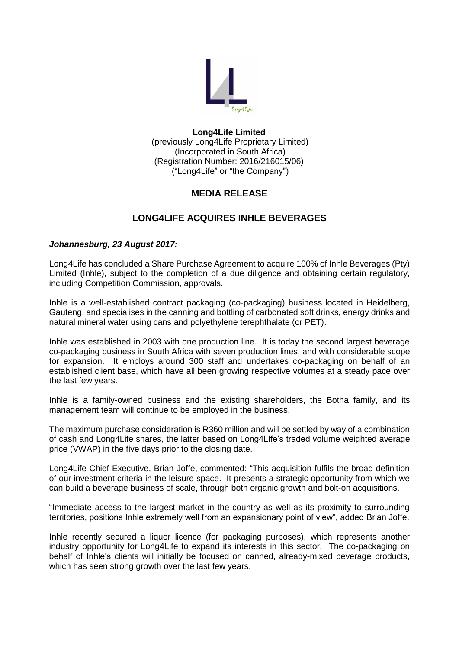

### **Long4Life Limited** (previously Long4Life Proprietary Limited) (Incorporated in South Africa) (Registration Number: 2016/216015/06) ("Long4Life" or "the Company")

## **MEDIA RELEASE**

# **LONG4LIFE ACQUIRES INHLE BEVERAGES**

## *Johannesburg, 23 August 2017:*

Long4Life has concluded a Share Purchase Agreement to acquire 100% of Inhle Beverages (Pty) Limited (Inhle), subject to the completion of a due diligence and obtaining certain regulatory, including Competition Commission, approvals.

Inhle is a well-established contract packaging (co-packaging) business located in Heidelberg, Gauteng, and specialises in the canning and bottling of carbonated soft drinks, energy drinks and natural mineral water using cans and polyethylene terephthalate (or PET).

Inhle was established in 2003 with one production line. It is today the second largest beverage co-packaging business in South Africa with seven production lines, and with considerable scope for expansion. It employs around 300 staff and undertakes co-packaging on behalf of an established client base, which have all been growing respective volumes at a steady pace over the last few years.

Inhle is a family-owned business and the existing shareholders, the Botha family, and its management team will continue to be employed in the business.

The maximum purchase consideration is R360 million and will be settled by way of a combination of cash and Long4Life shares, the latter based on Long4Life's traded volume weighted average price (VWAP) in the five days prior to the closing date.

Long4Life Chief Executive, Brian Joffe, commented: "This acquisition fulfils the broad definition of our investment criteria in the leisure space. It presents a strategic opportunity from which we can build a beverage business of scale, through both organic growth and bolt-on acquisitions.

"Immediate access to the largest market in the country as well as its proximity to surrounding territories, positions Inhle extremely well from an expansionary point of view", added Brian Joffe.

Inhle recently secured a liquor licence (for packaging purposes), which represents another industry opportunity for Long4Life to expand its interests in this sector. The co-packaging on behalf of Inhle's clients will initially be focused on canned, already-mixed beverage products, which has seen strong growth over the last few years.